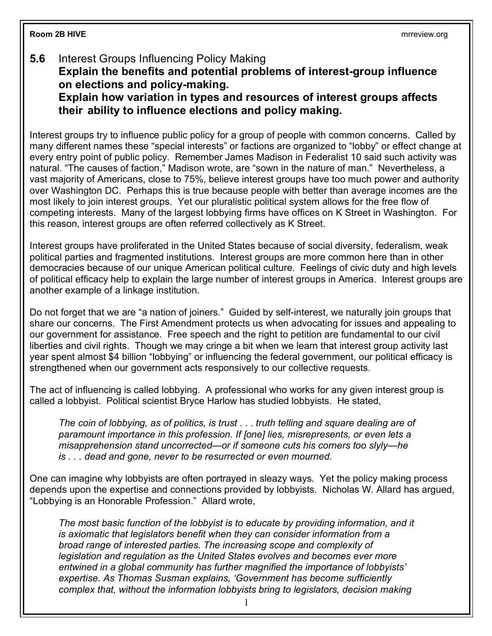## **5.6** Interest Groups Influencing Policy Making

**Explain the benefits and potential problems of interest-group influence on elections and policy-making.**

**Explain how variation in types and resources of interest groups affects their ability to influence elections and policy making.**

Interest groups try to influence public policy for a group of people with common concerns. Called by many different names these "special interests" or factions are organized to "lobby" or effect change at every entry point of public policy. Remember James Madison in Federalist 10 said such activity was natural. "The causes of faction," Madison wrote, are "sown in the nature of man." Nevertheless, a vast majority of Americans, close to 75%, believe interest groups have too much power and authority over Washington DC. Perhaps this is true because people with better than average incomes are the most likely to join interest groups. Yet our pluralistic political system allows for the free flow of competing interests. Many of the largest lobbying firms have offices on K Street in Washington. For this reason, interest groups are often referred collectively as K Street.

Interest groups have proliferated in the United States because of social diversity, federalism, weak political parties and fragmented institutions. Interest groups are more common here than in other democracies because of our unique American political culture. Feelings of civic duty and high levels of political efficacy help to explain the large number of interest groups in America. Interest groups are another example of a linkage institution.

Do not forget that we are "a nation of joiners." Guided by self-interest, we naturally join groups that share our concerns. The First Amendment protects us when advocating for issues and appealing to our government for assistance. Free speech and the right to petition are fundamental to our civil liberties and civil rights. Though we may cringe a bit when we learn that interest group activity last year spent almost \$4 billion "lobbying" or influencing the federal government, our political efficacy is strengthened when our government acts responsively to our collective requests.

The act of influencing is called lobbying. A professional who works for any given interest group is called a lobbyist. Political scientist Bryce Harlow has studied lobbyists. He stated,

*The coin of lobbying, as of politics, is trust . . . truth telling and square dealing are of paramount importance in this profession. If [one] lies, misrepresents, or even lets a misapprehension stand uncorrected—or if someone cuts his corners too slyly—he is . . . dead and gone, never to be resurrected or even mourned.*

One can imagine why lobbyists are often portrayed in sleazy ways. Yet the policy making process depends upon the expertise and connections provided by lobbyists. Nicholas W. Allard has argued, "Lobbying is an Honorable Profession." Allard wrote,

*The most basic function of the lobbyist is to educate by providing information, and it is axiomatic that legislators benefit when they can consider information from a broad range of interested parties. The increasing scope and complexity of legislation and regulation as the United States evolves and becomes ever more entwined in a global community has further magnified the importance of lobbyists' expertise. As Thomas Susman explains, 'Government has become sufficiently complex that, without the information lobbyists bring to legislators, decision making* 

1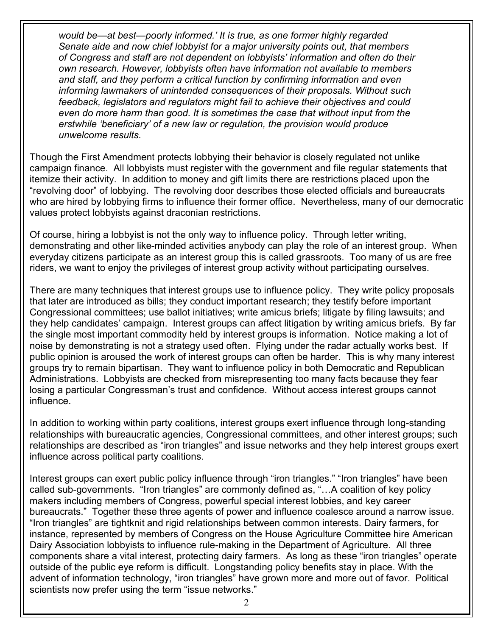*would be—at best—poorly informed.' It is true, as one former highly regarded Senate aide and now chief lobbyist for a major university points out, that members of Congress and staff are not dependent on lobbyists' information and often do their own research. However, lobbyists often have information not available to members and staff, and they perform a critical function by confirming information and even informing lawmakers of unintended consequences of their proposals. Without such feedback, legislators and regulators might fail to achieve their objectives and could even do more harm than good. It is sometimes the case that without input from the erstwhile 'beneficiary' of a new law or regulation, the provision would produce unwelcome results.*

Though the First Amendment protects lobbying their behavior is closely regulated not unlike campaign finance. All lobbyists must register with the government and file regular statements that itemize their activity. In addition to money and gift limits there are restrictions placed upon the "revolving door" of lobbying. The revolving door describes those elected officials and bureaucrats who are hired by lobbying firms to influence their former office. Nevertheless, many of our democratic values protect lobbyists against draconian restrictions.

Of course, hiring a lobbyist is not the only way to influence policy. Through letter writing, demonstrating and other like-minded activities anybody can play the role of an interest group. When everyday citizens participate as an interest group this is called grassroots. Too many of us are free riders, we want to enjoy the privileges of interest group activity without participating ourselves.

There are many techniques that interest groups use to influence policy. They write policy proposals that later are introduced as bills; they conduct important research; they testify before important Congressional committees; use ballot initiatives; write amicus briefs; litigate by filing lawsuits; and they help candidates' campaign. Interest groups can affect litigation by writing amicus briefs. By far the single most important commodity held by interest groups is information. Notice making a lot of noise by demonstrating is not a strategy used often. Flying under the radar actually works best. If public opinion is aroused the work of interest groups can often be harder. This is why many interest groups try to remain bipartisan. They want to influence policy in both Democratic and Republican Administrations. Lobbyists are checked from misrepresenting too many facts because they fear losing a particular Congressman's trust and confidence. Without access interest groups cannot influence.

In addition to working within party coalitions, interest groups exert influence through long-standing relationships with bureaucratic agencies, Congressional committees, and other interest groups; such relationships are described as "iron triangles" and issue networks and they help interest groups exert influence across political party coalitions.

Interest groups can exert public policy influence through "iron triangles." "Iron triangles" have been called sub-governments. "Iron triangles" are commonly defined as, "…A coalition of key policy makers including members of Congress, powerful special interest lobbies, and key career bureaucrats." Together these three agents of power and influence coalesce around a narrow issue. "Iron triangles" are tightknit and rigid relationships between common interests. Dairy farmers, for instance, represented by members of Congress on the House Agriculture Committee hire American Dairy Association lobbyists to influence rule-making in the Department of Agriculture. All three components share a vital interest, protecting dairy farmers. As long as these "iron triangles" operate outside of the public eye reform is difficult. Longstanding policy benefits stay in place. With the advent of information technology, "iron triangles" have grown more and more out of favor. Political scientists now prefer using the term "issue networks."